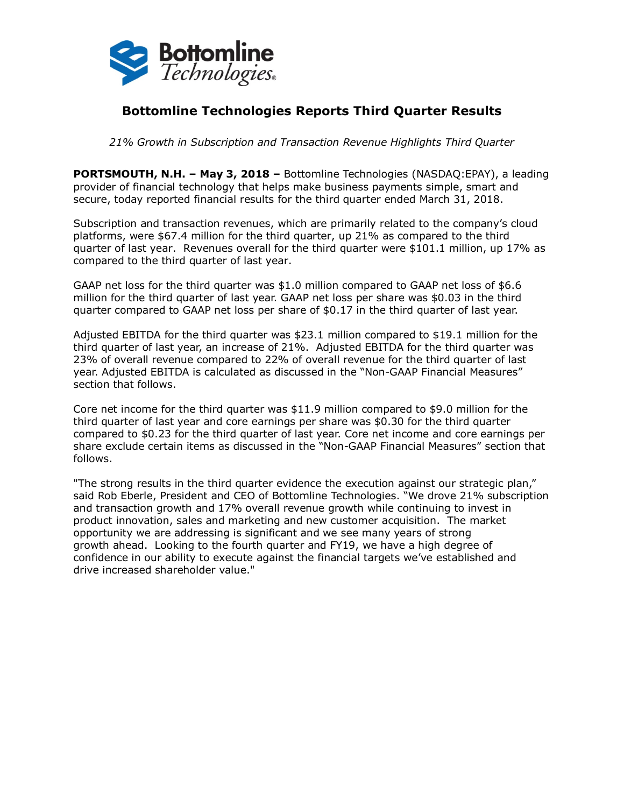

# **Bottomline Technologies Reports Third Quarter Results**

*21% Growth in Subscription and Transaction Revenue Highlights Third Quarter*

**PORTSMOUTH, N.H. – May 3, 2018 –** Bottomline Technologies (NASDAQ:EPAY), a leading provider of financial technology that helps make business payments simple, smart and secure, today reported financial results for the third quarter ended March 31, 2018.

Subscription and transaction revenues, which are primarily related to the company's cloud platforms, were \$67.4 million for the third quarter, up 21% as compared to the third quarter of last year. Revenues overall for the third quarter were \$101.1 million, up 17% as compared to the third quarter of last year.

GAAP net loss for the third quarter was \$1.0 million compared to GAAP net loss of \$6.6 million for the third quarter of last year. GAAP net loss per share was \$0.03 in the third quarter compared to GAAP net loss per share of \$0.17 in the third quarter of last year.

Adjusted EBITDA for the third quarter was \$23.1 million compared to \$19.1 million for the third quarter of last year, an increase of 21%. Adjusted EBITDA for the third quarter was 23% of overall revenue compared to 22% of overall revenue for the third quarter of last year. Adjusted EBITDA is calculated as discussed in the "Non-GAAP Financial Measures" section that follows.

Core net income for the third quarter was \$11.9 million compared to \$9.0 million for the third quarter of last year and core earnings per share was \$0.30 for the third quarter compared to \$0.23 for the third quarter of last year. Core net income and core earnings per share exclude certain items as discussed in the "Non-GAAP Financial Measures" section that follows.

"The strong results in the third quarter evidence the execution against our strategic plan," said Rob Eberle, President and CEO of Bottomline Technologies. "We drove 21% subscription and transaction growth and 17% overall revenue growth while continuing to invest in product innovation, sales and marketing and new customer acquisition. The market opportunity we are addressing is significant and we see many years of strong growth ahead. Looking to the fourth quarter and FY19, we have a high degree of confidence in our ability to execute against the financial targets we've established and drive increased shareholder value."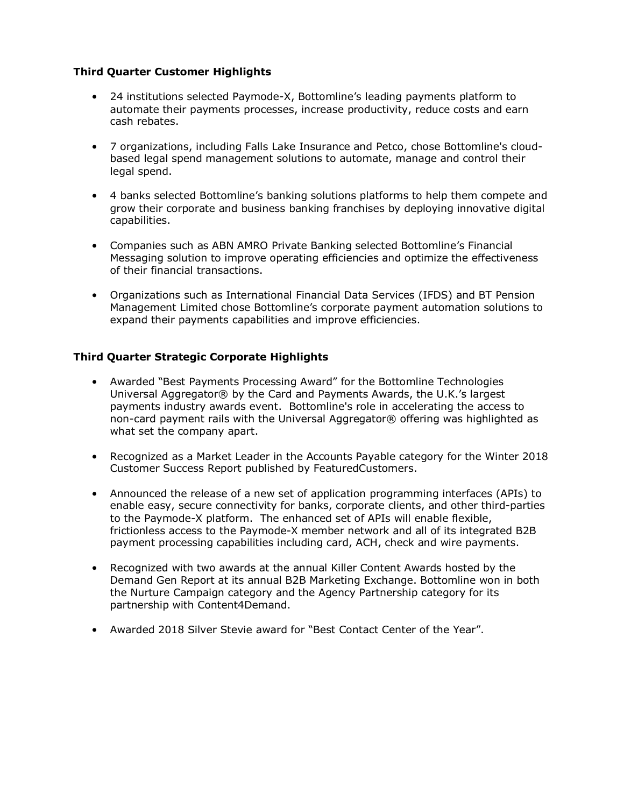### **Third Quarter Customer Highlights**

- 24 institutions selected Paymode-X, Bottomline's leading payments platform to automate their payments processes, increase productivity, reduce costs and earn cash rebates.
- 7 organizations, including Falls Lake Insurance and Petco, chose Bottomline's cloudbased legal spend management solutions to automate, manage and control their legal spend.
- 4 banks selected Bottomline's banking solutions platforms to help them compete and grow their corporate and business banking franchises by deploying innovative digital capabilities.
- Companies such as ABN AMRO Private Banking selected Bottomline's Financial Messaging solution to improve operating efficiencies and optimize the effectiveness of their financial transactions.
- Organizations such as International Financial Data Services (IFDS) and BT Pension Management Limited chose Bottomline's corporate payment automation solutions to expand their payments capabilities and improve efficiencies.

### **Third Quarter Strategic Corporate Highlights**

- Awarded "Best Payments Processing Award" for the Bottomline Technologies Universal Aggregator® by the Card and Payments Awards, the U.K.'s largest payments industry awards event. Bottomline's role in accelerating the access to non-card payment rails with the Universal Aggregator® offering was highlighted as what set the company apart.
- Recognized as a Market Leader in the Accounts Payable category for the Winter 2018 Customer Success Report published by FeaturedCustomers.
- Announced the release of a new set of application programming interfaces (APIs) to enable easy, secure connectivity for banks, corporate clients, and other third-parties to the Paymode-X platform. The enhanced set of APIs will enable flexible, frictionless access to the Paymode-X member network and all of its integrated B2B payment processing capabilities including card, ACH, check and wire payments.
- Recognized with two awards at the annual Killer Content Awards hosted by the Demand Gen Report at its annual B2B Marketing Exchange. Bottomline won in both the Nurture Campaign category and the Agency Partnership category for its partnership with Content4Demand.
- Awarded 2018 Silver Stevie award for "Best Contact Center of the Year".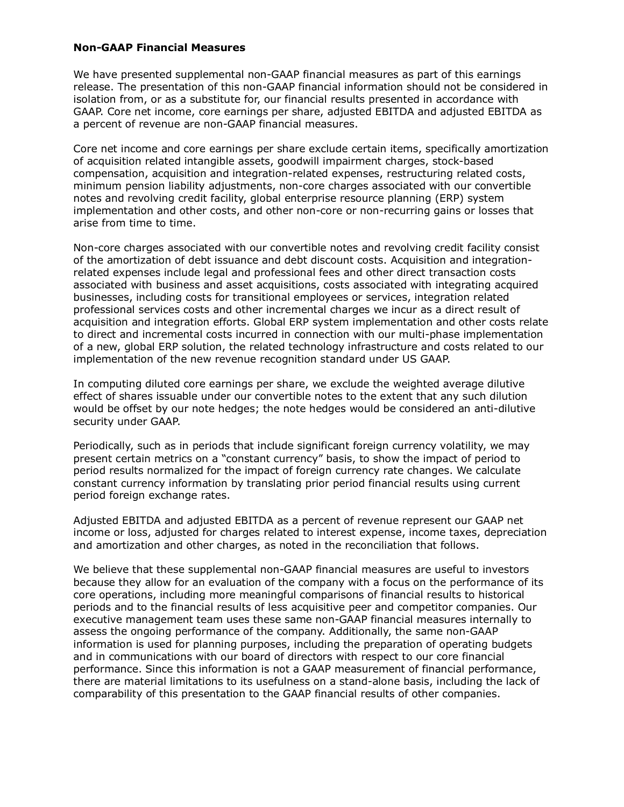### **Non-GAAP Financial Measures**

We have presented supplemental non-GAAP financial measures as part of this earnings release. The presentation of this non-GAAP financial information should not be considered in isolation from, or as a substitute for, our financial results presented in accordance with GAAP. Core net income, core earnings per share, adjusted EBITDA and adjusted EBITDA as a percent of revenue are non-GAAP financial measures.

Core net income and core earnings per share exclude certain items, specifically amortization of acquisition related intangible assets, goodwill impairment charges, stock-based compensation, acquisition and integration-related expenses, restructuring related costs, minimum pension liability adjustments, non-core charges associated with our convertible notes and revolving credit facility, global enterprise resource planning (ERP) system implementation and other costs, and other non-core or non-recurring gains or losses that arise from time to time.

Non-core charges associated with our convertible notes and revolving credit facility consist of the amortization of debt issuance and debt discount costs. Acquisition and integrationrelated expenses include legal and professional fees and other direct transaction costs associated with business and asset acquisitions, costs associated with integrating acquired businesses, including costs for transitional employees or services, integration related professional services costs and other incremental charges we incur as a direct result of acquisition and integration efforts. Global ERP system implementation and other costs relate to direct and incremental costs incurred in connection with our multi-phase implementation of a new, global ERP solution, the related technology infrastructure and costs related to our implementation of the new revenue recognition standard under US GAAP.

In computing diluted core earnings per share, we exclude the weighted average dilutive effect of shares issuable under our convertible notes to the extent that any such dilution would be offset by our note hedges; the note hedges would be considered an anti-dilutive security under GAAP.

Periodically, such as in periods that include significant foreign currency volatility, we may present certain metrics on a "constant currency" basis, to show the impact of period to period results normalized for the impact of foreign currency rate changes. We calculate constant currency information by translating prior period financial results using current period foreign exchange rates.

Adjusted EBITDA and adjusted EBITDA as a percent of revenue represent our GAAP net income or loss, adjusted for charges related to interest expense, income taxes, depreciation and amortization and other charges, as noted in the reconciliation that follows.

We believe that these supplemental non-GAAP financial measures are useful to investors because they allow for an evaluation of the company with a focus on the performance of its core operations, including more meaningful comparisons of financial results to historical periods and to the financial results of less acquisitive peer and competitor companies. Our executive management team uses these same non-GAAP financial measures internally to assess the ongoing performance of the company. Additionally, the same non-GAAP information is used for planning purposes, including the preparation of operating budgets and in communications with our board of directors with respect to our core financial performance. Since this information is not a GAAP measurement of financial performance, there are material limitations to its usefulness on a stand-alone basis, including the lack of comparability of this presentation to the GAAP financial results of other companies.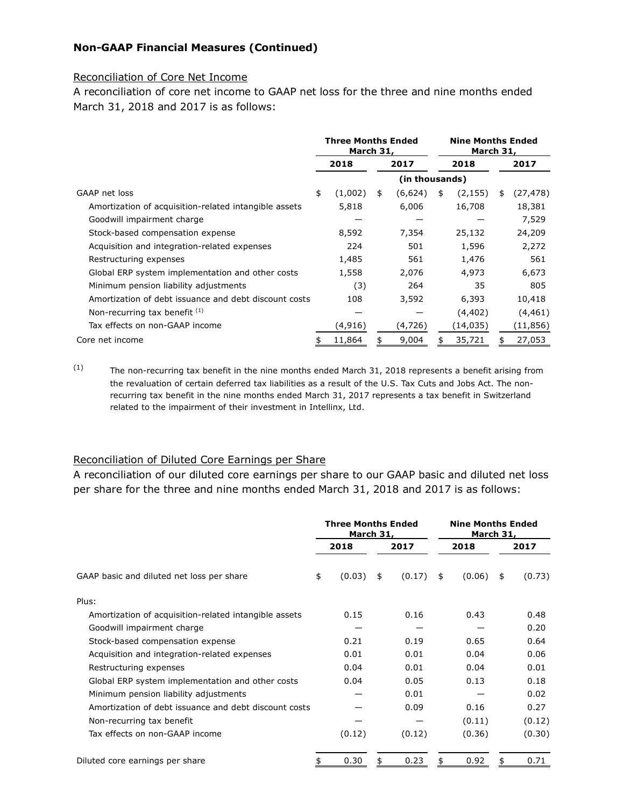## **Non-GAAP Financial Measures (Continued)**

### Reconciliation of Core Net Income

A reconciliation of core net income to GAAP net loss for the three and nine months ended March 31, 2018 and 2017 is as follows:

|                                                       |    | <b>Three Months Ended</b><br>March 31, |                |         | <b>Nine Months Ended</b><br>March 31, |           |    |           |  |  |  |  |  |  |  |  |  |      |  |      |
|-------------------------------------------------------|----|----------------------------------------|----------------|---------|---------------------------------------|-----------|----|-----------|--|--|--|--|--|--|--|--|--|------|--|------|
|                                                       |    | 2018                                   |                |         |                                       |           |    | 2017      |  |  |  |  |  |  |  |  |  | 2018 |  | 2017 |
|                                                       |    |                                        | (in thousands) |         |                                       |           |    |           |  |  |  |  |  |  |  |  |  |      |  |      |
| GAAP net loss                                         | \$ | (1,002)                                | \$             | (6,624) | \$                                    | (2, 155)  | \$ | (27, 478) |  |  |  |  |  |  |  |  |  |      |  |      |
| Amortization of acquisition-related intangible assets |    | 5,818                                  |                | 6,006   |                                       | 16,708    |    | 18,381    |  |  |  |  |  |  |  |  |  |      |  |      |
| Goodwill impairment charge                            |    |                                        |                |         |                                       |           |    | 7,529     |  |  |  |  |  |  |  |  |  |      |  |      |
| Stock-based compensation expense                      |    | 8,592                                  |                | 7,354   |                                       | 25,132    |    | 24,209    |  |  |  |  |  |  |  |  |  |      |  |      |
| Acquisition and integration-related expenses          |    | 224                                    |                | 501     |                                       | 1,596     |    | 2,272     |  |  |  |  |  |  |  |  |  |      |  |      |
| Restructuring expenses                                |    | 1,485                                  |                | 561     |                                       | 1,476     |    | 561       |  |  |  |  |  |  |  |  |  |      |  |      |
| Global ERP system implementation and other costs      |    | 1,558                                  |                | 2,076   |                                       | 4,973     |    | 6,673     |  |  |  |  |  |  |  |  |  |      |  |      |
| Minimum pension liability adjustments                 |    | (3)                                    |                | 264     |                                       | 35        |    | 805       |  |  |  |  |  |  |  |  |  |      |  |      |
| Amortization of debt issuance and debt discount costs |    | 108                                    |                | 3,592   |                                       | 6,393     |    | 10,418    |  |  |  |  |  |  |  |  |  |      |  |      |
| Non-recurring tax benefit (1)                         |    |                                        |                |         |                                       | (4,402)   |    | (4, 461)  |  |  |  |  |  |  |  |  |  |      |  |      |
| Tax effects on non-GAAP income                        |    | (4,916)                                |                | (4,726) |                                       | (14, 035) |    | (11, 856) |  |  |  |  |  |  |  |  |  |      |  |      |
| Core net income                                       |    | 11,864                                 |                | 9,004   |                                       | 35,721    |    | 27,053    |  |  |  |  |  |  |  |  |  |      |  |      |

 $(1)$  The non-recurring tax benefit in the nine months ended March 31, 2018 represents a benefit arising from the revaluation of certain deferred tax liabilities as a result of the U.S. Tax Cuts and Jobs Act. The nonrecurring tax benefit in the nine months ended March 31, 2017 represents a tax benefit in Switzerland related to the impairment of their investment in Intellinx, Ltd.

### Reconciliation of Diluted Core Earnings per Share

A reconciliation of our diluted core earnings per share to our GAAP basic and diluted net loss per share for the three and nine months ended March 31, 2018 and 2017 is as follows:

|                                                       | <b>Three Months Ended</b><br>March 31, |    |        |    | <b>Nine Months Ended</b><br>March 31, |    |        |
|-------------------------------------------------------|----------------------------------------|----|--------|----|---------------------------------------|----|--------|
|                                                       | 2018                                   |    | 2017   |    | 2018                                  |    | 2017   |
| GAAP basic and diluted net loss per share             | \$<br>(0.03)                           | \$ | (0.17) | \$ | (0.06)                                | \$ | (0.73) |
| Plus:                                                 |                                        |    |        |    |                                       |    |        |
| Amortization of acquisition-related intangible assets | 0.15                                   |    | 0.16   |    | 0.43                                  |    | 0.48   |
| Goodwill impairment charge                            |                                        |    |        |    |                                       |    | 0.20   |
| Stock-based compensation expense                      | 0.21                                   |    | 0.19   |    | 0.65                                  |    | 0.64   |
| Acquisition and integration-related expenses          | 0.01                                   |    | 0.01   |    | 0.04                                  |    | 0.06   |
| Restructuring expenses                                | 0.04                                   |    | 0.01   |    | 0.04                                  |    | 0.01   |
| Global ERP system implementation and other costs      | 0.04                                   |    | 0.05   |    | 0.13                                  |    | 0.18   |
| Minimum pension liability adjustments                 |                                        |    | 0.01   |    |                                       |    | 0.02   |
| Amortization of debt issuance and debt discount costs |                                        |    | 0.09   |    | 0.16                                  |    | 0.27   |
| Non-recurring tax benefit                             |                                        |    |        |    | (0.11)                                |    | (0.12) |
| Tax effects on non-GAAP income                        | (0.12)                                 |    | (0.12) |    | (0.36)                                |    | (0.30) |
| Diluted core earnings per share                       | \$<br>0.30                             | \$ | 0.23   | \$ | 0.92                                  | \$ | 0.71   |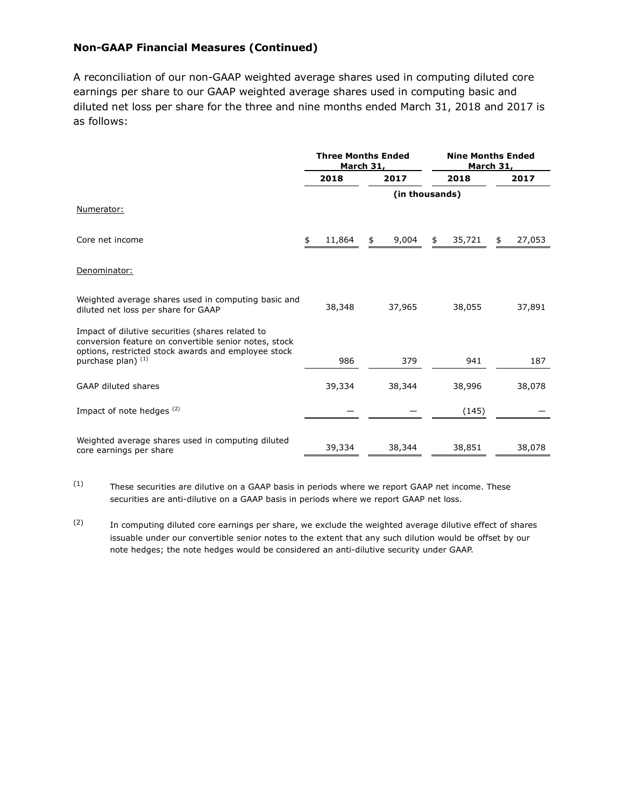## **Non-GAAP Financial Measures (Continued)**

A reconciliation of our non-GAAP weighted average shares used in computing diluted core earnings per share to our GAAP weighted average shares used in computing basic and diluted net loss per share for the three and nine months ended March 31, 2018 and 2017 is as follows:

|                                                                                                                                                                  | <b>Three Months Ended</b><br><u>March 31,</u> |                |        |      |        | <b>Nine Months Ended</b><br>March 31, |  |  |
|------------------------------------------------------------------------------------------------------------------------------------------------------------------|-----------------------------------------------|----------------|--------|------|--------|---------------------------------------|--|--|
|                                                                                                                                                                  | 2018                                          | 2017           |        | 2018 |        | 2017                                  |  |  |
|                                                                                                                                                                  |                                               | (in thousands) |        |      |        |                                       |  |  |
| Numerator:                                                                                                                                                       |                                               |                |        |      |        |                                       |  |  |
| Core net income                                                                                                                                                  | \$<br>11,864                                  | \$             | 9,004  | \$   | 35,721 | \$<br>27,053                          |  |  |
| Denominator:                                                                                                                                                     |                                               |                |        |      |        |                                       |  |  |
| Weighted average shares used in computing basic and<br>diluted net loss per share for GAAP                                                                       | 38,348                                        |                | 37,965 |      | 38,055 | 37,891                                |  |  |
| Impact of dilutive securities (shares related to<br>conversion feature on convertible senior notes, stock<br>options, restricted stock awards and employee stock |                                               |                |        |      |        |                                       |  |  |
| purchase plan) (1)                                                                                                                                               | 986                                           |                | 379    |      | 941    | 187                                   |  |  |
| <b>GAAP diluted shares</b>                                                                                                                                       | 39,334                                        |                | 38,344 |      | 38,996 | 38,078                                |  |  |
| Impact of note hedges (2)                                                                                                                                        |                                               |                |        |      | (145)  |                                       |  |  |
| Weighted average shares used in computing diluted                                                                                                                |                                               |                |        |      |        |                                       |  |  |
| core earnings per share                                                                                                                                          | 39,334                                        |                | 38,344 |      | 38,851 | 38,078                                |  |  |

- $(1)$  These securities are dilutive on a GAAP basis in periods where we report GAAP net income. These securities are anti-dilutive on a GAAP basis in periods where we report GAAP net loss.
- (2) In computing diluted core earnings per share, we exclude the weighted average dilutive effect of shares issuable under our convertible senior notes to the extent that any such dilution would be offset by our note hedges; the note hedges would be considered an anti-dilutive security under GAAP.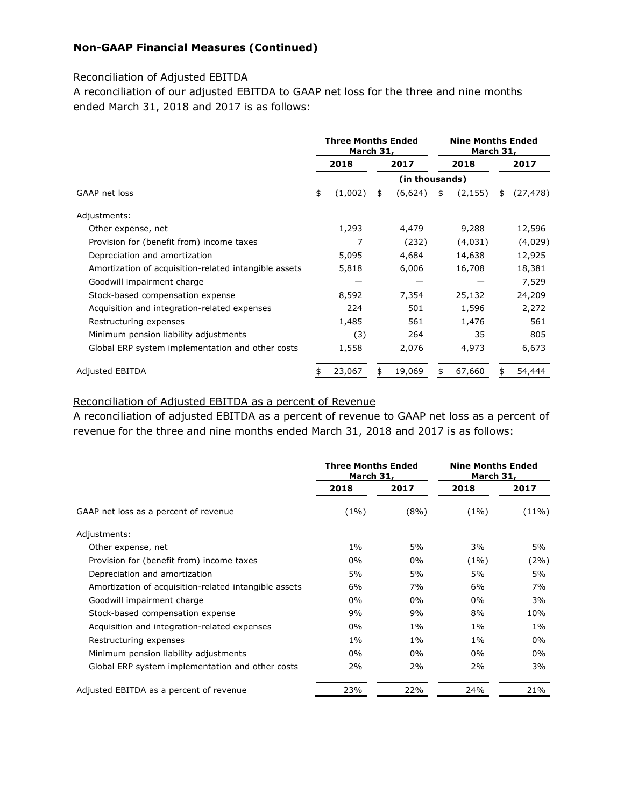## **Non-GAAP Financial Measures (Continued)**

### Reconciliation of Adjusted EBITDA

A reconciliation of our adjusted EBITDA to GAAP net loss for the three and nine months ended March 31, 2018 and 2017 is as follows:

|                                                       | <b>Three Months Ended</b><br>March 31, |         |    |                | <b>Nine Months Ended</b><br>March 31, |          |    |           |
|-------------------------------------------------------|----------------------------------------|---------|----|----------------|---------------------------------------|----------|----|-----------|
|                                                       |                                        | 2018    |    | 2017           |                                       | 2018     |    | 2017      |
|                                                       |                                        |         |    | (in thousands) |                                       |          |    |           |
| GAAP net loss                                         | \$                                     | (1,002) | \$ | (6,624)        | \$                                    | (2, 155) | \$ | (27, 478) |
| Adjustments:                                          |                                        |         |    |                |                                       |          |    |           |
| Other expense, net                                    |                                        | 1,293   |    | 4,479          |                                       | 9,288    |    | 12,596    |
| Provision for (benefit from) income taxes             |                                        | 7       |    | (232)          |                                       | (4,031)  |    | (4,029)   |
| Depreciation and amortization                         |                                        | 5,095   |    | 4,684          |                                       | 14,638   |    | 12,925    |
| Amortization of acquisition-related intangible assets |                                        | 5,818   |    | 6,006          |                                       | 16,708   |    | 18,381    |
| Goodwill impairment charge                            |                                        |         |    |                |                                       |          |    | 7,529     |
| Stock-based compensation expense                      |                                        | 8,592   |    | 7,354          |                                       | 25,132   |    | 24,209    |
| Acquisition and integration-related expenses          |                                        | 224     |    | 501            |                                       | 1,596    |    | 2,272     |
| Restructuring expenses                                |                                        | 1,485   |    | 561            |                                       | 1,476    |    | 561       |
| Minimum pension liability adjustments                 |                                        | (3)     |    | 264            |                                       | 35       |    | 805       |
| Global ERP system implementation and other costs      |                                        | 1,558   |    | 2,076          |                                       | 4,973    |    | 6,673     |
| Adjusted EBITDA                                       |                                        | 23,067  |    | 19,069         |                                       | 67,660   |    | 54,444    |

### Reconciliation of Adjusted EBITDA as a percent of Revenue

A reconciliation of adjusted EBITDA as a percent of revenue to GAAP net loss as a percent of revenue for the three and nine months ended March 31, 2018 and 2017 is as follows:

|                                                       | <b>Three Months Ended</b><br>March 31, |         | <b>Nine Months Ended</b><br>March 31, |          |  |
|-------------------------------------------------------|----------------------------------------|---------|---------------------------------------|----------|--|
|                                                       | 2018                                   | 2017    | 2018                                  | 2017     |  |
| GAAP net loss as a percent of revenue                 | $(1\%)$                                | $(8\%)$ | $(1\%)$                               | $(11\%)$ |  |
| Adjustments:                                          |                                        |         |                                       |          |  |
| Other expense, net                                    | $1\%$                                  | 5%      | 3%                                    | 5%       |  |
| Provision for (benefit from) income taxes             | $0\%$                                  | $0\%$   | (1%)                                  | (2%)     |  |
| Depreciation and amortization                         | 5%                                     | 5%      | 5%                                    | 5%       |  |
| Amortization of acquisition-related intangible assets | 6%                                     | 7%      | 6%                                    | 7%       |  |
| Goodwill impairment charge                            | $0\%$                                  | $0\%$   | $0\%$                                 | 3%       |  |
| Stock-based compensation expense                      | 9%                                     | 9%      | 8%                                    | 10%      |  |
| Acquisition and integration-related expenses          | 0%                                     | $1\%$   | $1\%$                                 | $1\%$    |  |
| Restructuring expenses                                | $1\%$                                  | $1\%$   | $1\%$                                 | 0%       |  |
| Minimum pension liability adjustments                 | 0%                                     | $0\%$   | $0\%$                                 | $0\%$    |  |
| Global ERP system implementation and other costs      | 2%                                     | 2%      | 2%                                    | 3%       |  |
| Adjusted EBITDA as a percent of revenue               | 23%                                    | 22%     | 24%                                   | 21%      |  |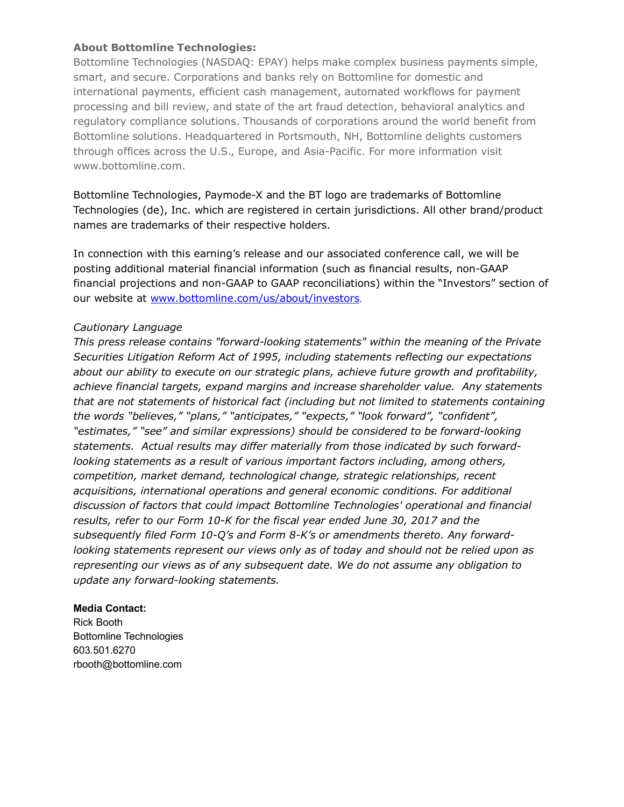### **About Bottomline Technologies:**

Bottomline Technologies (NASDAQ: EPAY) helps make complex business payments simple, smart, and secure. Corporations and banks rely on Bottomline for domestic and international payments, efficient cash management, automated workflows for payment processing and bill review, and state of the art fraud detection, behavioral analytics and regulatory compliance solutions. Thousands of corporations around the world benefit from Bottomline solutions. Headquartered in Portsmouth, NH, Bottomline delights customers through offices across the U.S., Europe, and Asia-Pacific. For more information visit www.bottomline.com.

Bottomline Technologies, Paymode-X and the BT logo are trademarks of Bottomline Technologies (de), Inc. which are registered in certain jurisdictions. All other brand/product names are trademarks of their respective holders.

In connection with this earning's release and our associated conference call, we will be posting additional material financial information (such as financial results, non-GAAP financial projections and non-GAAP to GAAP reconciliations) within the "Investors" section of our website at www.bottomline.com/us/about/investors.

### *Cautionary Language*

*This press release contains "forward-looking statements" within the meaning of the Private Securities Litigation Reform Act of 1995, including statements reflecting our expectations about our ability to execute on our strategic plans, achieve future growth and profitability, achieve financial targets, expand margins and increase shareholder value. Any statements that are not statements of historical fact (including but not limited to statements containing the words "believes," "plans," "anticipates," "expects," "look forward", "confident", "estimates," "see" and similar expressions) should be considered to be forward-looking statements. Actual results may differ materially from those indicated by such forwardlooking statements as a result of various important factors including, among others, competition, market demand, technological change, strategic relationships, recent acquisitions, international operations and general economic conditions. For additional discussion of factors that could impact Bottomline Technologies' operational and financial results, refer to our Form 10-K for the fiscal year ended June 30, 2017 and the subsequently filed Form 10-Q's and Form 8-K's or amendments thereto. Any forwardlooking statements represent our views only as of today and should not be relied upon as representing our views as of any subsequent date. We do not assume any obligation to update any forward-looking statements.*

### **Media Contact:**

Rick Booth Bottomline Technologies 603.501.6270 rbooth@bottomline.com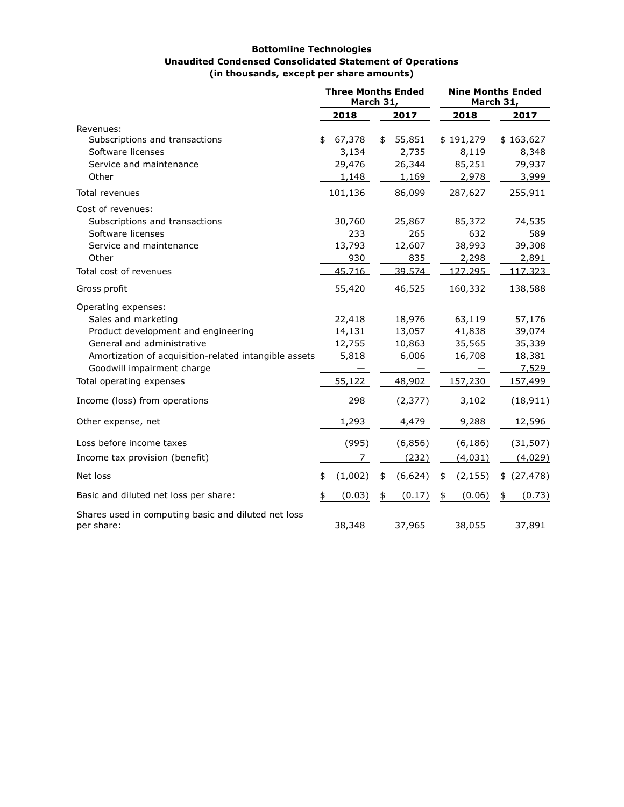### **Bottomline Technologies Unaudited Condensed Consolidated Statement of Operations (in thousands, except per share amounts)**

|                                                                                                                                                                                                                                    | <b>Three Months Ended</b><br>March 31 |                                               |    | <b>Nine Months Ended</b><br>March 31,         |    |                                                 |                                                          |
|------------------------------------------------------------------------------------------------------------------------------------------------------------------------------------------------------------------------------------|---------------------------------------|-----------------------------------------------|----|-----------------------------------------------|----|-------------------------------------------------|----------------------------------------------------------|
|                                                                                                                                                                                                                                    |                                       | 2018                                          |    | 2017                                          |    | 2018                                            | 2017                                                     |
| Revenues:<br>Subscriptions and transactions<br>Software licenses<br>Service and maintenance<br>Other                                                                                                                               | \$                                    | 67,378<br>3,134<br>29,476<br>1,148            | \$ | 55,851<br>2,735<br>26,344<br>1,169            |    | \$191,279<br>8,119<br>85,251<br>2,978           | \$163,627<br>8,348<br>79,937<br>3,999                    |
| Total revenues                                                                                                                                                                                                                     |                                       | 101,136                                       |    | 86,099                                        |    | 287,627                                         | 255,911                                                  |
| Cost of revenues:<br>Subscriptions and transactions<br>Software licenses<br>Service and maintenance<br>Other<br>Total cost of revenues                                                                                             |                                       | 30,760<br>233<br>13,793<br>930<br>45,716      |    | 25,867<br>265<br>12,607<br>835<br>39,574      |    | 85,372<br>632<br>38,993<br>2,298<br>127.295     | 74,535<br>589<br>39,308<br>2,891<br>117,323              |
| Gross profit                                                                                                                                                                                                                       |                                       | 55,420                                        |    | 46,525                                        |    | 160,332                                         | 138,588                                                  |
| Operating expenses:<br>Sales and marketing<br>Product development and engineering<br>General and administrative<br>Amortization of acquisition-related intangible assets<br>Goodwill impairment charge<br>Total operating expenses |                                       | 22,418<br>14,131<br>12,755<br>5,818<br>55,122 |    | 18,976<br>13,057<br>10,863<br>6,006<br>48,902 |    | 63,119<br>41,838<br>35,565<br>16,708<br>157,230 | 57,176<br>39,074<br>35,339<br>18,381<br>7,529<br>157,499 |
| Income (loss) from operations                                                                                                                                                                                                      |                                       | 298                                           |    | (2, 377)                                      |    | 3,102                                           | (18, 911)                                                |
| Other expense, net                                                                                                                                                                                                                 |                                       | 1,293                                         |    | 4,479                                         |    | 9,288                                           | 12,596                                                   |
| Loss before income taxes<br>Income tax provision (benefit)                                                                                                                                                                         |                                       | (995)<br>7                                    |    | (6,856)<br>(232)                              |    | (6, 186)<br>(4,031)                             | (31, 507)<br>(4,029)                                     |
| Net loss                                                                                                                                                                                                                           | \$                                    | (1,002)                                       | \$ | (6,624)                                       | \$ | (2, 155)                                        | (27, 478)<br>\$                                          |
| Basic and diluted net loss per share:                                                                                                                                                                                              | \$                                    | (0.03)                                        | \$ | (0.17)                                        | \$ | (0.06)                                          | (0.73)<br>\$                                             |
| Shares used in computing basic and diluted net loss<br>per share:                                                                                                                                                                  |                                       | 38,348                                        |    | 37,965                                        |    | 38,055                                          | 37,891                                                   |